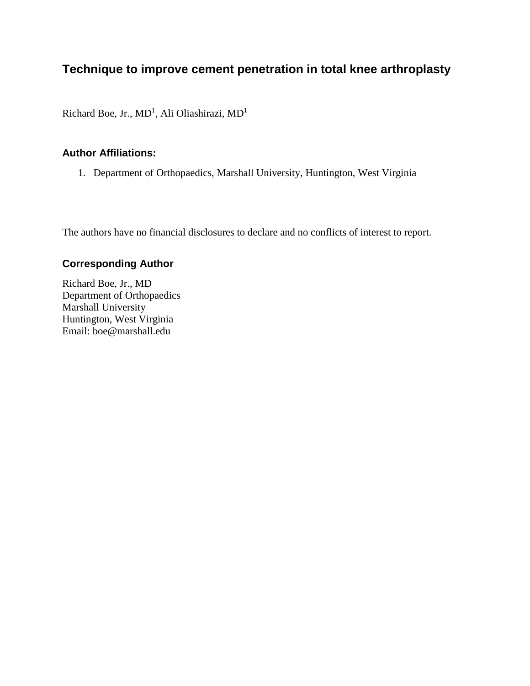# **Technique to improve cement penetration in total knee arthroplasty**

Richard Boe, Jr.,  $MD<sup>1</sup>$ , Ali Oliashirazi,  $MD<sup>1</sup>$ 

#### **Author Affiliations:**

1. Department of Orthopaedics, Marshall University, Huntington, West Virginia

The authors have no financial disclosures to declare and no conflicts of interest to report.

# **Corresponding Author**

Richard Boe, Jr., MD Department of Orthopaedics Marshall University Huntington, West Virginia Email: boe@marshall.edu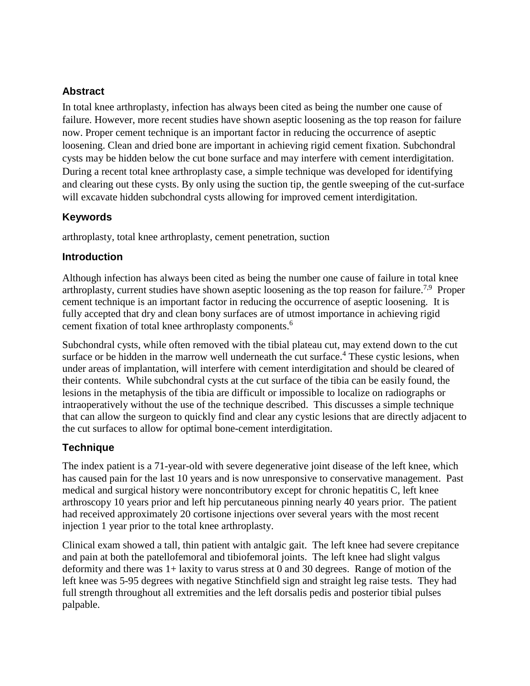# **Abstract**

In total knee arthroplasty, infection has always been cited as being the number one cause of failure. However, more recent studies have shown aseptic loosening as the top reason for failure now. Proper cement technique is an important factor in reducing the occurrence of aseptic loosening. Clean and dried bone are important in achieving rigid cement fixation. Subchondral cysts may be hidden below the cut bone surface and may interfere with cement interdigitation. During a recent total knee arthroplasty case, a simple technique was developed for identifying and clearing out these cysts. By only using the suction tip, the gentle sweeping of the cut-surface will excavate hidden subchondral cysts allowing for improved cement interdigitation.

# **Keywords**

arthroplasty, total knee arthroplasty, cement penetration, suction

## **Introduction**

Although infection has always been cited as being the number one cause of failure in total knee arthroplasty, current studies have shown aseptic loosening as the top reason for failure.<sup>7,9</sup> Proper cement technique is an important factor in reducing the occurrence of aseptic loosening. It is fully accepted that dry and clean bony surfaces are of utmost importance in achieving rigid cement fixation of total knee arthroplasty components. 6

Subchondral cysts, while often removed with the tibial plateau cut, may extend down to the cut surface or be hidden in the marrow well underneath the cut surface.<sup>4</sup> These cystic lesions, when under areas of implantation, will interfere with cement interdigitation and should be cleared of their contents. While subchondral cysts at the cut surface of the tibia can be easily found, the lesions in the metaphysis of the tibia are difficult or impossible to localize on radiographs or intraoperatively without the use of the technique described. This discusses a simple technique that can allow the surgeon to quickly find and clear any cystic lesions that are directly adjacent to the cut surfaces to allow for optimal bone-cement interdigitation.

# **Technique**

The index patient is a 71-year-old with severe degenerative joint disease of the left knee, which has caused pain for the last 10 years and is now unresponsive to conservative management. Past medical and surgical history were noncontributory except for chronic hepatitis C, left knee arthroscopy 10 years prior and left hip percutaneous pinning nearly 40 years prior. The patient had received approximately 20 cortisone injections over several years with the most recent injection 1 year prior to the total knee arthroplasty.

Clinical exam showed a tall, thin patient with antalgic gait. The left knee had severe crepitance and pain at both the patellofemoral and tibiofemoral joints. The left knee had slight valgus deformity and there was 1+ laxity to varus stress at 0 and 30 degrees. Range of motion of the left knee was 5-95 degrees with negative Stinchfield sign and straight leg raise tests. They had full strength throughout all extremities and the left dorsalis pedis and posterior tibial pulses palpable.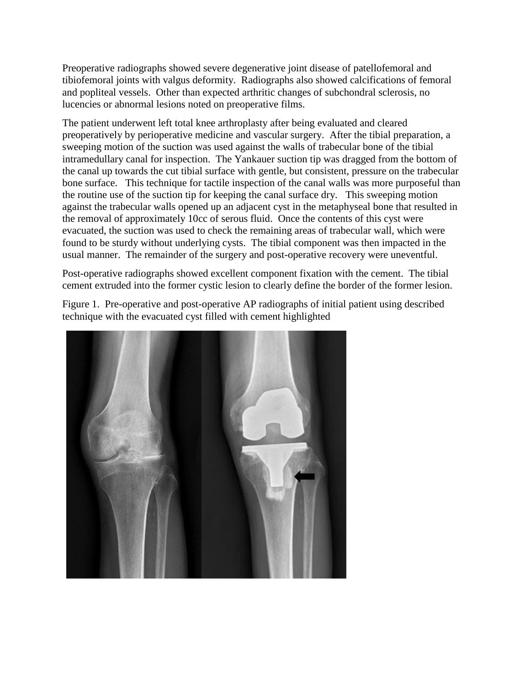Preoperative radiographs showed severe degenerative joint disease of patellofemoral and tibiofemoral joints with valgus deformity. Radiographs also showed calcifications of femoral and popliteal vessels. Other than expected arthritic changes of subchondral sclerosis, no lucencies or abnormal lesions noted on preoperative films.

The patient underwent left total knee arthroplasty after being evaluated and cleared preoperatively by perioperative medicine and vascular surgery. After the tibial preparation, a sweeping motion of the suction was used against the walls of trabecular bone of the tibial intramedullary canal for inspection. The Yankauer suction tip was dragged from the bottom of the canal up towards the cut tibial surface with gentle, but consistent, pressure on the trabecular bone surface. This technique for tactile inspection of the canal walls was more purposeful than the routine use of the suction tip for keeping the canal surface dry. This sweeping motion against the trabecular walls opened up an adjacent cyst in the metaphyseal bone that resulted in the removal of approximately 10cc of serous fluid. Once the contents of this cyst were evacuated, the suction was used to check the remaining areas of trabecular wall, which were found to be sturdy without underlying cysts. The tibial component was then impacted in the usual manner. The remainder of the surgery and post-operative recovery were uneventful.

Post-operative radiographs showed excellent component fixation with the cement. The tibial cement extruded into the former cystic lesion to clearly define the border of the former lesion.

Figure 1. Pre-operative and post-operative AP radiographs of initial patient using described technique with the evacuated cyst filled with cement highlighted

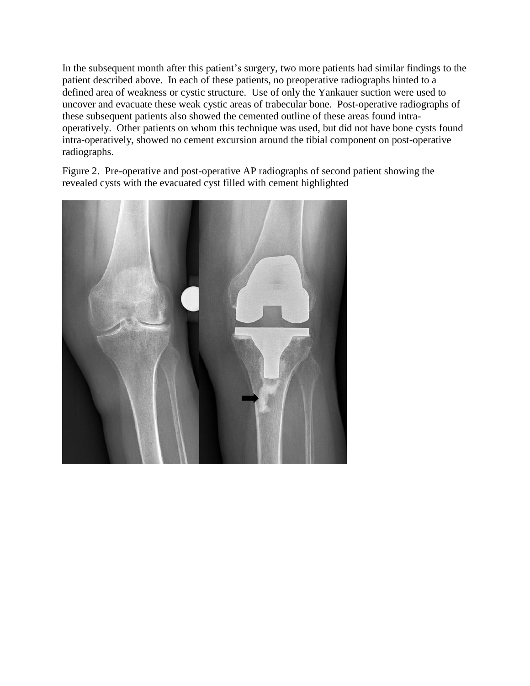In the subsequent month after this patient's surgery, two more patients had similar findings to the patient described above. In each of these patients, no preoperative radiographs hinted to a defined area of weakness or cystic structure. Use of only the Yankauer suction were used to uncover and evacuate these weak cystic areas of trabecular bone. Post-operative radiographs of these subsequent patients also showed the cemented outline of these areas found intraoperatively. Other patients on whom this technique was used, but did not have bone cysts found intra-operatively, showed no cement excursion around the tibial component on post-operative radiographs.

Figure 2. Pre-operative and post-operative AP radiographs of second patient showing the revealed cysts with the evacuated cyst filled with cement highlighted

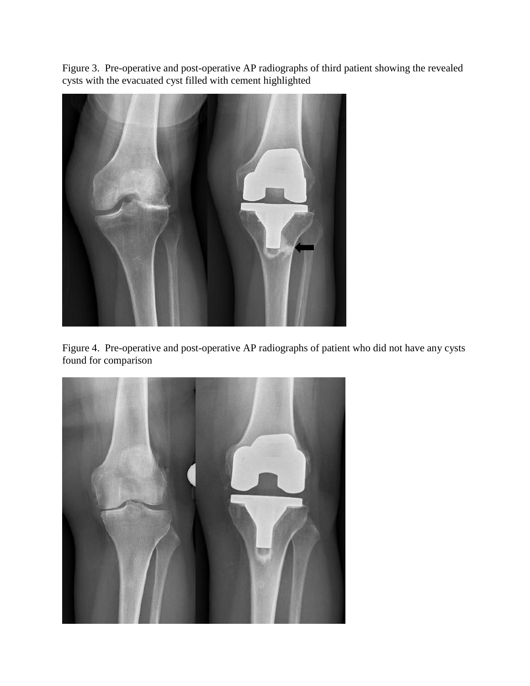Figure 3. Pre-operative and post-operative AP radiographs of third patient showing the revealed cysts with the evacuated cyst filled with cement highlighted



Figure 4. Pre-operative and post-operative AP radiographs of patient who did not have any cysts found for comparison

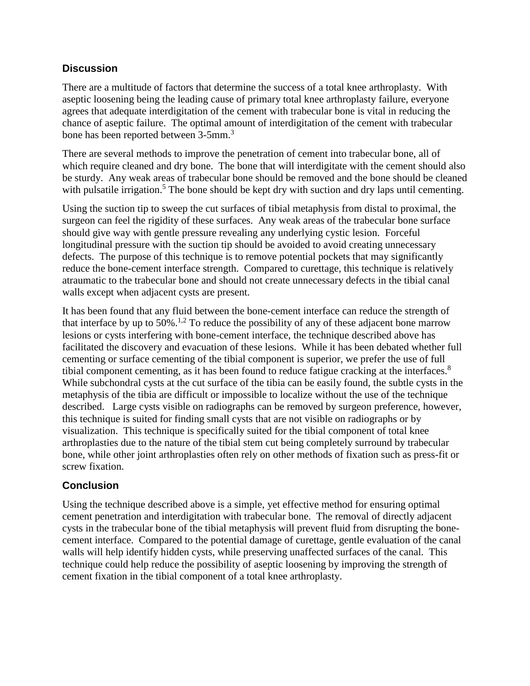### **Discussion**

There are a multitude of factors that determine the success of a total knee arthroplasty. With aseptic loosening being the leading cause of primary total knee arthroplasty failure, everyone agrees that adequate interdigitation of the cement with trabecular bone is vital in reducing the chance of aseptic failure. The optimal amount of interdigitation of the cement with trabecular bone has been reported between 3-5mm. 3

There are several methods to improve the penetration of cement into trabecular bone, all of which require cleaned and dry bone. The bone that will interdigitate with the cement should also be sturdy. Any weak areas of trabecular bone should be removed and the bone should be cleaned with pulsatile irrigation.<sup>5</sup> The bone should be kept dry with suction and dry laps until cementing.

Using the suction tip to sweep the cut surfaces of tibial metaphysis from distal to proximal, the surgeon can feel the rigidity of these surfaces. Any weak areas of the trabecular bone surface should give way with gentle pressure revealing any underlying cystic lesion. Forceful longitudinal pressure with the suction tip should be avoided to avoid creating unnecessary defects. The purpose of this technique is to remove potential pockets that may significantly reduce the bone-cement interface strength. Compared to curettage, this technique is relatively atraumatic to the trabecular bone and should not create unnecessary defects in the tibial canal walls except when adjacent cysts are present.

It has been found that any fluid between the bone-cement interface can reduce the strength of that interface by up to  $50\%$ .<sup>1,2</sup> To reduce the possibility of any of these adjacent bone marrow lesions or cysts interfering with bone-cement interface, the technique described above has facilitated the discovery and evacuation of these lesions. While it has been debated whether full cementing or surface cementing of the tibial component is superior, we prefer the use of full tibial component cementing, as it has been found to reduce fatigue cracking at the interfaces. $8$ While subchondral cysts at the cut surface of the tibia can be easily found, the subtle cysts in the metaphysis of the tibia are difficult or impossible to localize without the use of the technique described. Large cysts visible on radiographs can be removed by surgeon preference, however, this technique is suited for finding small cysts that are not visible on radiographs or by visualization. This technique is specifically suited for the tibial component of total knee arthroplasties due to the nature of the tibial stem cut being completely surround by trabecular bone, while other joint arthroplasties often rely on other methods of fixation such as press-fit or screw fixation.

# **Conclusion**

Using the technique described above is a simple, yet effective method for ensuring optimal cement penetration and interdigitation with trabecular bone. The removal of directly adjacent cysts in the trabecular bone of the tibial metaphysis will prevent fluid from disrupting the bonecement interface. Compared to the potential damage of curettage, gentle evaluation of the canal walls will help identify hidden cysts, while preserving unaffected surfaces of the canal. This technique could help reduce the possibility of aseptic loosening by improving the strength of cement fixation in the tibial component of a total knee arthroplasty.